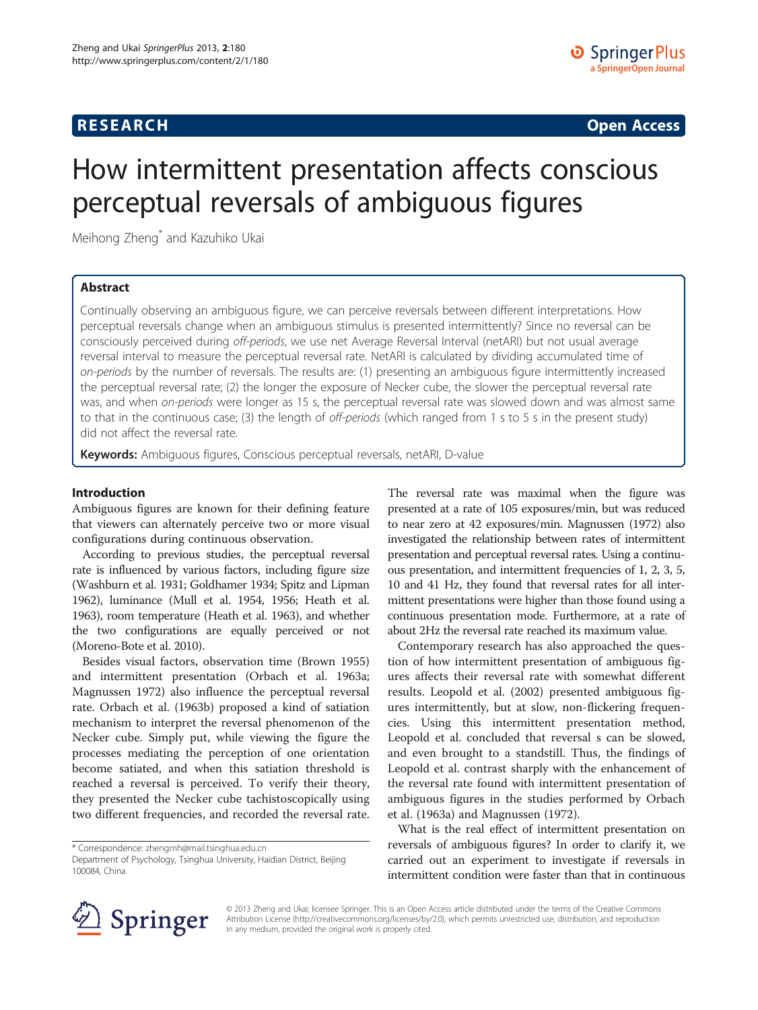# **RESEARCH CHINESE ARCH CHINESE ARCH CHINESE ARCH <b>CHINESE ARCH**

# How intermittent presentation affects conscious perceptual reversals of ambiguous figures

Meihong Zheng\* and Kazuhiko Ukai

# Abstract

Continually observing an ambiguous figure, we can perceive reversals between different interpretations. How perceptual reversals change when an ambiguous stimulus is presented intermittently? Since no reversal can be consciously perceived during off-periods, we use net Average Reversal Interval (netARI) but not usual average reversal interval to measure the perceptual reversal rate. NetARI is calculated by dividing accumulated time of on-periods by the number of reversals. The results are: (1) presenting an ambiguous figure intermittently increased the perceptual reversal rate; (2) the longer the exposure of Necker cube, the slower the perceptual reversal rate was, and when on-periods were longer as 15 s, the perceptual reversal rate was slowed down and was almost same to that in the continuous case; (3) the length of *off-periods* (which ranged from 1 s to 5 s in the present study) did not affect the reversal rate.

Keywords: Ambiguous figures, Conscious perceptual reversals, netARI, D-value

# Introduction

Ambiguous figures are known for their defining feature that viewers can alternately perceive two or more visual configurations during continuous observation.

According to previous studies, the perceptual reversal rate is influenced by various factors, including figure size (Washburn et al. [1931;](#page-5-0) Goldhamer [1934;](#page-5-0) Spitz and Lipman [1962\)](#page-5-0), luminance (Mull et al. [1954, 1956](#page-5-0); Heath et al. [1963\)](#page-5-0), room temperature (Heath et al. [1963](#page-5-0)), and whether the two configurations are equally perceived or not (Moreno-Bote et al. [2010\)](#page-5-0).

Besides visual factors, observation time (Brown [1955](#page-5-0)) and intermittent presentation (Orbach et al. [1963a](#page-5-0); Magnussen [1972\)](#page-5-0) also influence the perceptual reversal rate. Orbach et al. [\(1963b](#page-5-0)) proposed a kind of satiation mechanism to interpret the reversal phenomenon of the Necker cube. Simply put, while viewing the figure the processes mediating the perception of one orientation become satiated, and when this satiation threshold is reached a reversal is perceived. To verify their theory, they presented the Necker cube tachistoscopically using two different frequencies, and recorded the reversal rate.

\* Correspondence: [zhengmh@mail.tsinghua.edu.cn](mailto:zhengmh@mail.tsinghua.edu.cn)

The reversal rate was maximal when the figure was presented at a rate of 105 exposures/min, but was reduced to near zero at 42 exposures/min. Magnussen ([1972](#page-5-0)) also investigated the relationship between rates of intermittent presentation and perceptual reversal rates. Using a continuous presentation, and intermittent frequencies of 1, 2, 3, 5, 10 and 41 Hz, they found that reversal rates for all intermittent presentations were higher than those found using a continuous presentation mode. Furthermore, at a rate of about 2Hz the reversal rate reached its maximum value.

Contemporary research has also approached the question of how intermittent presentation of ambiguous figures affects their reversal rate with somewhat different results. Leopold et al. ([2002](#page-5-0)) presented ambiguous figures intermittently, but at slow, non-flickering frequencies. Using this intermittent presentation method, Leopold et al. concluded that reversal s can be slowed, and even brought to a standstill. Thus, the findings of Leopold et al. contrast sharply with the enhancement of the reversal rate found with intermittent presentation of ambiguous figures in the studies performed by Orbach et al. [\(1963a\)](#page-5-0) and Magnussen ([1972\)](#page-5-0).

What is the real effect of intermittent presentation on reversals of ambiguous figures? In order to clarify it, we carried out an experiment to investigate if reversals in intermittent condition were faster than that in continuous



© 2013 Zheng and Ukai; licensee Springer. This is an Open Access article distributed under the terms of the Creative Commons Attribution License [\(http://creativecommons.org/licenses/by/2.0\)](http://creativecommons.org/licenses/by/2.0), which permits unrestricted use, distribution, and reproduction in any medium, provided the original work is properly cited.

Department of Psychology, Tsinghua University, Haidian District, Beijing 100084, China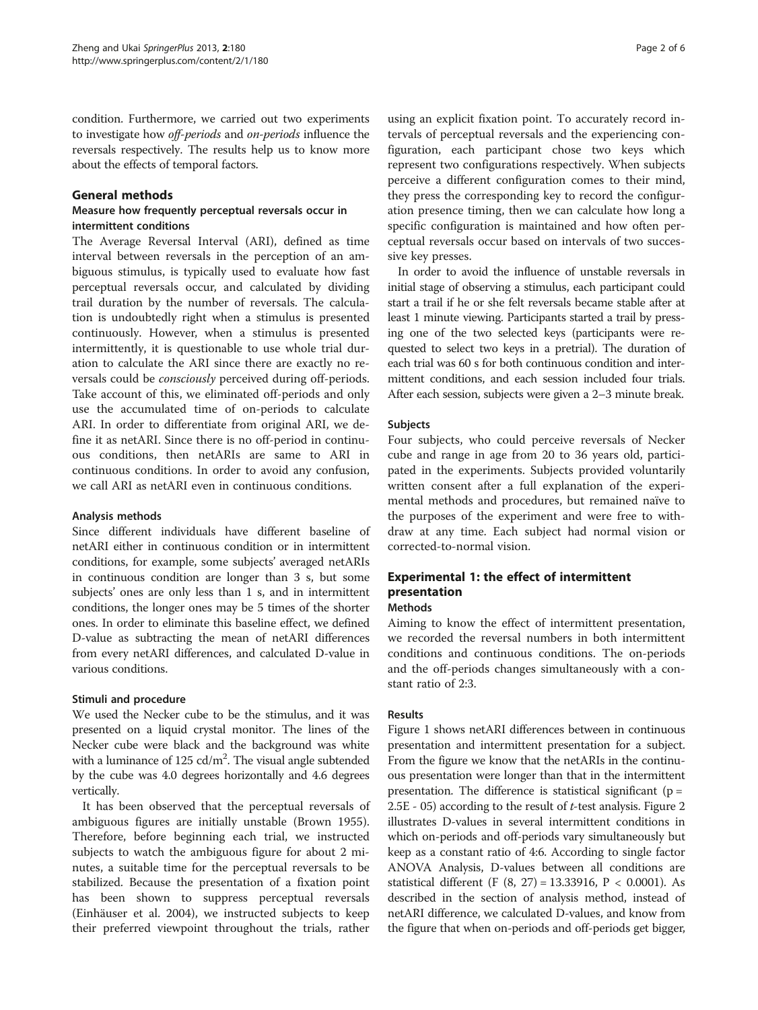condition. Furthermore, we carried out two experiments to investigate how off-periods and on-periods influence the reversals respectively. The results help us to know more about the effects of temporal factors.

## General methods

# Measure how frequently perceptual reversals occur in intermittent conditions

The Average Reversal Interval (ARI), defined as time interval between reversals in the perception of an ambiguous stimulus, is typically used to evaluate how fast perceptual reversals occur, and calculated by dividing trail duration by the number of reversals. The calculation is undoubtedly right when a stimulus is presented continuously. However, when a stimulus is presented intermittently, it is questionable to use whole trial duration to calculate the ARI since there are exactly no reversals could be consciously perceived during off-periods. Take account of this, we eliminated off-periods and only use the accumulated time of on-periods to calculate ARI. In order to differentiate from original ARI, we define it as netARI. Since there is no off-period in continuous conditions, then netARIs are same to ARI in continuous conditions. In order to avoid any confusion, we call ARI as netARI even in continuous conditions.

## Analysis methods

Since different individuals have different baseline of netARI either in continuous condition or in intermittent conditions, for example, some subjects' averaged netARIs in continuous condition are longer than 3 s, but some subjects' ones are only less than 1 s, and in intermittent conditions, the longer ones may be 5 times of the shorter ones. In order to eliminate this baseline effect, we defined D-value as subtracting the mean of netARI differences from every netARI differences, and calculated D-value in various conditions.

## Stimuli and procedure

We used the Necker cube to be the stimulus, and it was presented on a liquid crystal monitor. The lines of the Necker cube were black and the background was white with a luminance of  $125 \text{ cd/m}^2$ . The visual angle subtended by the cube was 4.0 degrees horizontally and 4.6 degrees vertically.

It has been observed that the perceptual reversals of ambiguous figures are initially unstable (Brown [1955](#page-5-0)). Therefore, before beginning each trial, we instructed subjects to watch the ambiguous figure for about 2 minutes, a suitable time for the perceptual reversals to be stabilized. Because the presentation of a fixation point has been shown to suppress perceptual reversals (Einhäuser et al. [2004](#page-5-0)), we instructed subjects to keep their preferred viewpoint throughout the trials, rather

using an explicit fixation point. To accurately record intervals of perceptual reversals and the experiencing configuration, each participant chose two keys which represent two configurations respectively. When subjects perceive a different configuration comes to their mind, they press the corresponding key to record the configuration presence timing, then we can calculate how long a specific configuration is maintained and how often perceptual reversals occur based on intervals of two successive key presses.

In order to avoid the influence of unstable reversals in initial stage of observing a stimulus, each participant could start a trail if he or she felt reversals became stable after at least 1 minute viewing. Participants started a trail by pressing one of the two selected keys (participants were requested to select two keys in a pretrial). The duration of each trial was 60 s for both continuous condition and intermittent conditions, and each session included four trials. After each session, subjects were given a 2–3 minute break.

## Subjects

Four subjects, who could perceive reversals of Necker cube and range in age from 20 to 36 years old, participated in the experiments. Subjects provided voluntarily written consent after a full explanation of the experimental methods and procedures, but remained naïve to the purposes of the experiment and were free to withdraw at any time. Each subject had normal vision or corrected-to-normal vision.

# Experimental 1: the effect of intermittent presentation

# Methods

Aiming to know the effect of intermittent presentation, we recorded the reversal numbers in both intermittent conditions and continuous conditions. The on-periods and the off-periods changes simultaneously with a constant ratio of 2:3.

# Results

Figure [1](#page-2-0) shows netARI differences between in continuous presentation and intermittent presentation for a subject. From the figure we know that the netARIs in the continuous presentation were longer than that in the intermittent presentation. The difference is statistical significant ( $p =$ 2.5E - 05) according to the result of  $t$ -test analysis. Figure [2](#page-2-0) illustrates D-values in several intermittent conditions in which on-periods and off-periods vary simultaneously but keep as a constant ratio of 4:6. According to single factor ANOVA Analysis, D-values between all conditions are statistical different (F (8, 27) = 13.33916, P < 0.0001). As described in the section of analysis method, instead of netARI difference, we calculated D-values, and know from the figure that when on-periods and off-periods get bigger,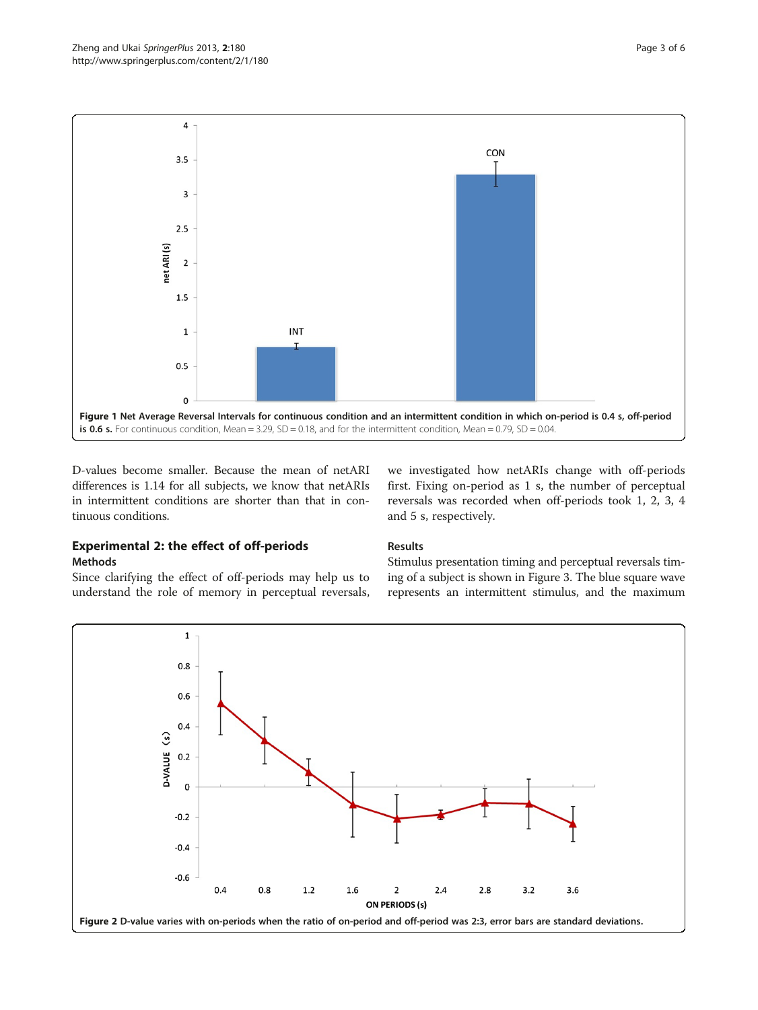<span id="page-2-0"></span>

D-values become smaller. Because the mean of netARI differences is 1.14 for all subjects, we know that netARIs in intermittent conditions are shorter than that in continuous conditions.

we investigated how netARIs change with off-periods first. Fixing on-period as 1 s, the number of perceptual reversals was recorded when off-periods took 1, 2, 3, 4 and 5 s, respectively.

# Experimental 2: the effect of off-periods Methods

Since clarifying the effect of off-periods may help us to understand the role of memory in perceptual reversals,

# Results

Stimulus presentation timing and perceptual reversals timing of a subject is shown in Figure [3.](#page-3-0) The blue square wave represents an intermittent stimulus, and the maximum

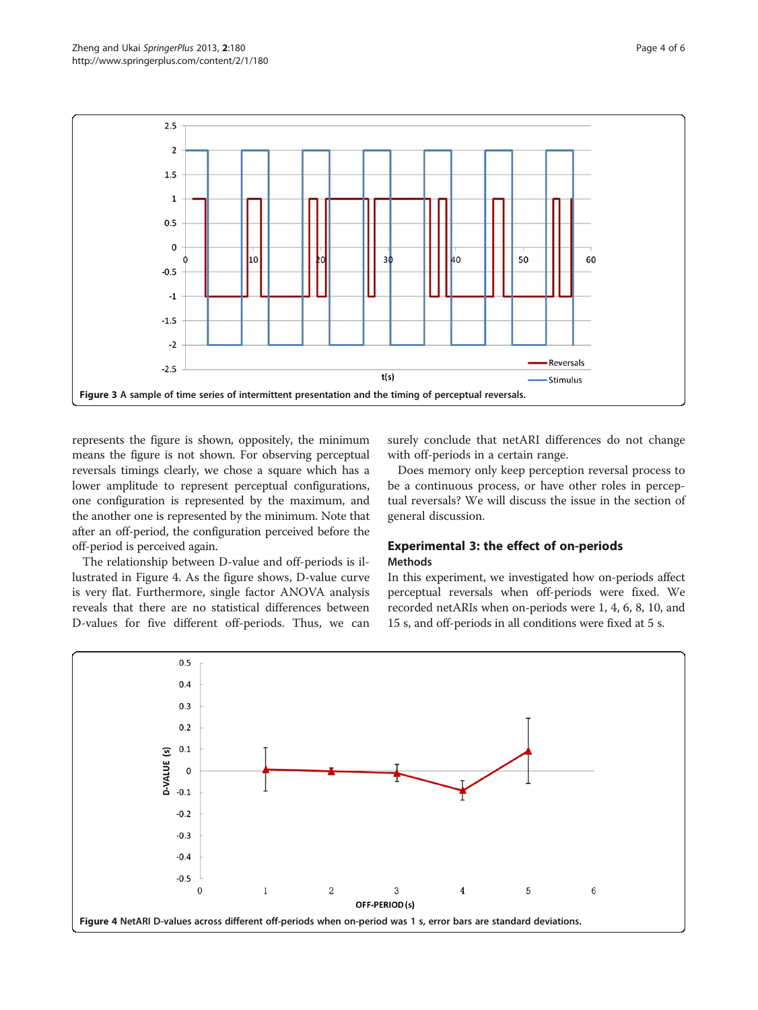<span id="page-3-0"></span>

represents the figure is shown, oppositely, the minimum means the figure is not shown. For observing perceptual reversals timings clearly, we chose a square which has a lower amplitude to represent perceptual configurations, one configuration is represented by the maximum, and the another one is represented by the minimum. Note that after an off-period, the configuration perceived before the off-period is perceived again.

The relationship between D-value and off-periods is illustrated in Figure 4. As the figure shows, D-value curve is very flat. Furthermore, single factor ANOVA analysis reveals that there are no statistical differences between D-values for five different off-periods. Thus, we can

surely conclude that netARI differences do not change with off-periods in a certain range.

Does memory only keep perception reversal process to be a continuous process, or have other roles in perceptual reversals? We will discuss the issue in the section of general discussion.

# Experimental 3: the effect of on-periods Methods

In this experiment, we investigated how on-periods affect perceptual reversals when off-periods were fixed. We recorded netARIs when on-periods were 1, 4, 6, 8, 10, and 15 s, and off-periods in all conditions were fixed at 5 s.

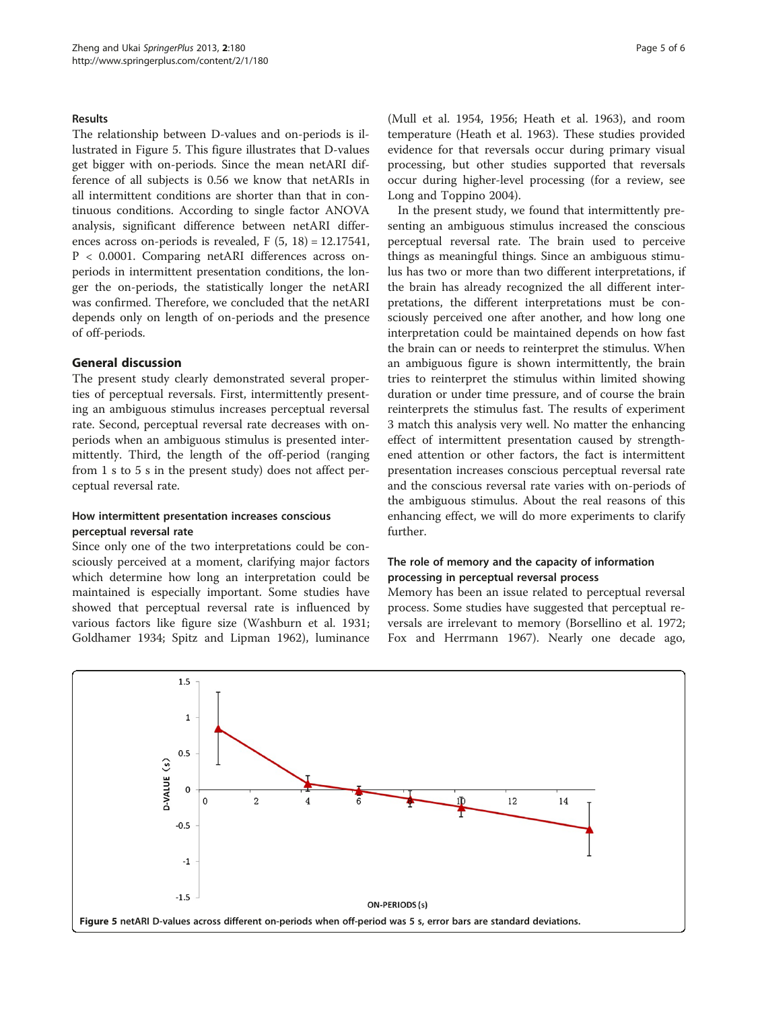## <span id="page-4-0"></span>Results

The relationship between D-values and on-periods is illustrated in Figure 5. This figure illustrates that D-values get bigger with on-periods. Since the mean netARI difference of all subjects is 0.56 we know that netARIs in all intermittent conditions are shorter than that in continuous conditions. According to single factor ANOVA analysis, significant difference between netARI differences across on-periods is revealed,  $F(5, 18) = 12.17541$ , P < 0.0001. Comparing netARI differences across onperiods in intermittent presentation conditions, the longer the on-periods, the statistically longer the netARI was confirmed. Therefore, we concluded that the netARI depends only on length of on-periods and the presence of off-periods.

#### General discussion

The present study clearly demonstrated several properties of perceptual reversals. First, intermittently presenting an ambiguous stimulus increases perceptual reversal rate. Second, perceptual reversal rate decreases with onperiods when an ambiguous stimulus is presented intermittently. Third, the length of the off-period (ranging from 1 s to 5 s in the present study) does not affect perceptual reversal rate.

# How intermittent presentation increases conscious perceptual reversal rate

Since only one of the two interpretations could be consciously perceived at a moment, clarifying major factors which determine how long an interpretation could be maintained is especially important. Some studies have showed that perceptual reversal rate is influenced by various factors like figure size (Washburn et al. [1931](#page-5-0); Goldhamer [1934;](#page-5-0) Spitz and Lipman [1962](#page-5-0)), luminance

(Mull et al. [1954, 1956](#page-5-0); Heath et al. [1963\)](#page-5-0), and room temperature (Heath et al. [1963\)](#page-5-0). These studies provided evidence for that reversals occur during primary visual processing, but other studies supported that reversals occur during higher-level processing (for a review, see Long and Toppino [2004](#page-5-0)).

In the present study, we found that intermittently presenting an ambiguous stimulus increased the conscious perceptual reversal rate. The brain used to perceive things as meaningful things. Since an ambiguous stimulus has two or more than two different interpretations, if the brain has already recognized the all different interpretations, the different interpretations must be consciously perceived one after another, and how long one interpretation could be maintained depends on how fast the brain can or needs to reinterpret the stimulus. When an ambiguous figure is shown intermittently, the brain tries to reinterpret the stimulus within limited showing duration or under time pressure, and of course the brain reinterprets the stimulus fast. The results of experiment 3 match this analysis very well. No matter the enhancing effect of intermittent presentation caused by strengthened attention or other factors, the fact is intermittent presentation increases conscious perceptual reversal rate and the conscious reversal rate varies with on-periods of the ambiguous stimulus. About the real reasons of this enhancing effect, we will do more experiments to clarify further.

# The role of memory and the capacity of information processing in perceptual reversal process

Memory has been an issue related to perceptual reversal process. Some studies have suggested that perceptual reversals are irrelevant to memory (Borsellino et al. [1972](#page-5-0); Fox and Herrmann [1967\)](#page-5-0). Nearly one decade ago,